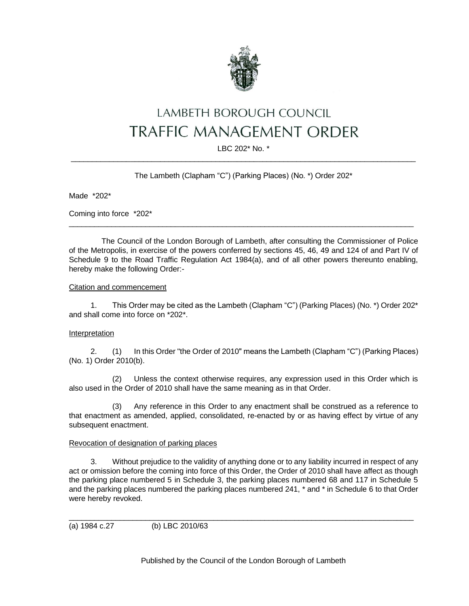

# LAMBETH BOROUGH COUNCIL **TRAFFIC MANAGEMENT ORDER**

## LBC 202\* No. \* \_\_\_\_\_\_\_\_\_\_\_\_\_\_\_\_\_\_\_\_\_\_\_\_\_\_\_\_\_\_\_\_\_\_\_\_\_\_\_\_\_\_\_\_\_\_\_\_\_\_\_\_\_\_\_\_\_\_\_\_\_\_\_\_\_\_\_\_\_\_\_\_\_\_\_\_\_\_\_\_\_

# The Lambeth (Clapham "C") (Parking Places) (No. \*) Order 202\*

Made \*202\*

Coming into force \*202\*

The Council of the London Borough of Lambeth, after consulting the Commissioner of Police of the Metropolis, in exercise of the powers conferred by sections 45, 46, 49 and 124 of and Part IV of Schedule 9 to the Road Traffic Regulation Act 1984(a), and of all other powers thereunto enabling, hereby make the following Order:-

 $\_$  ,  $\_$  ,  $\_$  ,  $\_$  ,  $\_$  ,  $\_$  ,  $\_$  ,  $\_$  ,  $\_$  ,  $\_$  ,  $\_$  ,  $\_$  ,  $\_$  ,  $\_$  ,  $\_$  ,  $\_$  ,  $\_$  ,  $\_$  ,  $\_$  ,  $\_$  ,  $\_$  ,  $\_$  ,  $\_$  ,  $\_$  ,  $\_$  ,  $\_$  ,  $\_$  ,  $\_$  ,  $\_$  ,  $\_$  ,  $\_$  ,  $\_$  ,  $\_$  ,  $\_$  ,  $\_$  ,  $\_$  ,  $\_$  ,

# Citation and commencement

1. This Order may be cited as the Lambeth (Clapham "C") (Parking Places) (No. \*) Order 202\* and shall come into force on \*202\*.

## Interpretation

2. (1) In this Order "the Order of 2010" means the Lambeth (Clapham "C") (Parking Places) (No. 1) Order 2010(b).

(2) Unless the context otherwise requires, any expression used in this Order which is also used in the Order of 2010 shall have the same meaning as in that Order.

(3) Any reference in this Order to any enactment shall be construed as a reference to that enactment as amended, applied, consolidated, re-enacted by or as having effect by virtue of any subsequent enactment.

## Revocation of designation of parking places

3. Without prejudice to the validity of anything done or to any liability incurred in respect of any act or omission before the coming into force of this Order, the Order of 2010 shall have affect as though the parking place numbered 5 in Schedule 3, the parking places numbered 68 and 117 in Schedule 5 and the parking places numbered the parking places numbered 241, \* and \* in Schedule 6 to that Order were hereby revoked.

 $\_$  ,  $\_$  ,  $\_$  ,  $\_$  ,  $\_$  ,  $\_$  ,  $\_$  ,  $\_$  ,  $\_$  ,  $\_$  ,  $\_$  ,  $\_$  ,  $\_$  ,  $\_$  ,  $\_$  ,  $\_$  ,  $\_$  ,  $\_$  ,  $\_$  ,  $\_$  ,  $\_$  ,  $\_$  ,  $\_$  ,  $\_$  ,  $\_$  ,  $\_$  ,  $\_$  ,  $\_$  ,  $\_$  ,  $\_$  ,  $\_$  ,  $\_$  ,  $\_$  ,  $\_$  ,  $\_$  ,  $\_$  ,  $\_$  ,

(a) 1984 c.27 (b) LBC 2010/63

Published by the Council of the London Borough of Lambeth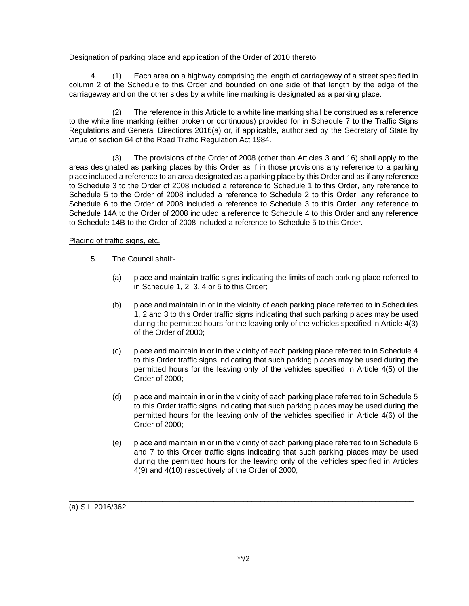# Designation of parking place and application of the Order of 2010 thereto

4. (1) Each area on a highway comprising the length of carriageway of a street specified in column 2 of the Schedule to this Order and bounded on one side of that length by the edge of the carriageway and on the other sides by a white line marking is designated as a parking place.

(2) The reference in this Article to a white line marking shall be construed as a reference to the white line marking (either broken or continuous) provided for in Schedule 7 to the Traffic Signs Regulations and General Directions 2016(a) or, if applicable, authorised by the Secretary of State by virtue of section 64 of the Road Traffic Regulation Act 1984.

(3) The provisions of the Order of 2008 (other than Articles 3 and 16) shall apply to the areas designated as parking places by this Order as if in those provisions any reference to a parking place included a reference to an area designated as a parking place by this Order and as if any reference to Schedule 3 to the Order of 2008 included a reference to Schedule 1 to this Order, any reference to Schedule 5 to the Order of 2008 included a reference to Schedule 2 to this Order, any reference to Schedule 6 to the Order of 2008 included a reference to Schedule 3 to this Order, any reference to Schedule 14A to the Order of 2008 included a reference to Schedule 4 to this Order and any reference to Schedule 14B to the Order of 2008 included a reference to Schedule 5 to this Order.

## Placing of traffic signs, etc.

- 5. The Council shall:-
	- (a) place and maintain traffic signs indicating the limits of each parking place referred to in Schedule 1, 2, 3, 4 or 5 to this Order;
	- (b) place and maintain in or in the vicinity of each parking place referred to in Schedules 1, 2 and 3 to this Order traffic signs indicating that such parking places may be used during the permitted hours for the leaving only of the vehicles specified in Article 4(3) of the Order of 2000;
	- (c) place and maintain in or in the vicinity of each parking place referred to in Schedule 4 to this Order traffic signs indicating that such parking places may be used during the permitted hours for the leaving only of the vehicles specified in Article 4(5) of the Order of 2000;
	- (d) place and maintain in or in the vicinity of each parking place referred to in Schedule 5 to this Order traffic signs indicating that such parking places may be used during the permitted hours for the leaving only of the vehicles specified in Article 4(6) of the Order of 2000;
	- (e) place and maintain in or in the vicinity of each parking place referred to in Schedule 6 and 7 to this Order traffic signs indicating that such parking places may be used during the permitted hours for the leaving only of the vehicles specified in Articles 4(9) and 4(10) respectively of the Order of 2000;

(a) S.I. 2016/362

\_\_\_\_\_\_\_\_\_\_\_\_\_\_\_\_\_\_\_\_\_\_\_\_\_\_\_\_\_\_\_\_\_\_\_\_\_\_\_\_\_\_\_\_\_\_\_\_\_\_\_\_\_\_\_\_\_\_\_\_\_\_\_\_\_\_\_\_\_\_\_\_\_\_\_\_\_\_\_\_\_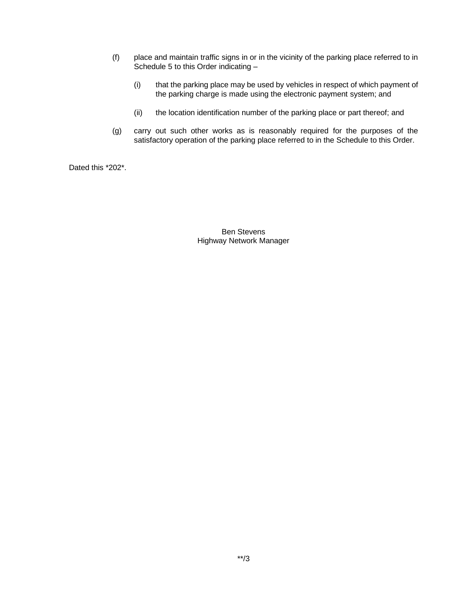- (f) place and maintain traffic signs in or in the vicinity of the parking place referred to in Schedule 5 to this Order indicating –
	- (i) that the parking place may be used by vehicles in respect of which payment of the parking charge is made using the electronic payment system; and
	- (ii) the location identification number of the parking place or part thereof; and
- (g) carry out such other works as is reasonably required for the purposes of the satisfactory operation of the parking place referred to in the Schedule to this Order.

Dated this \*202\*.

Ben Stevens Highway Network Manager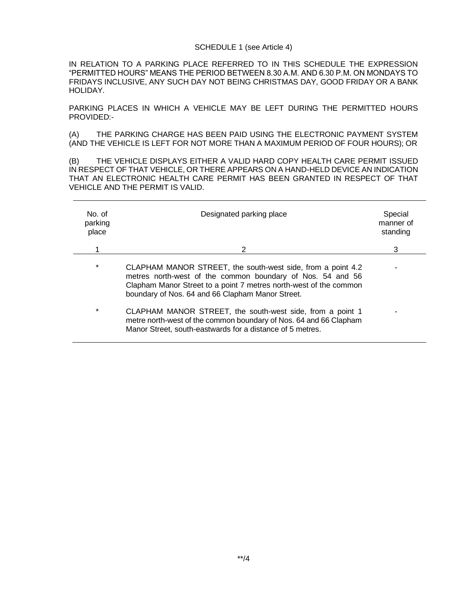#### SCHEDULE 1 (see Article 4)

IN RELATION TO A PARKING PLACE REFERRED TO IN THIS SCHEDULE THE EXPRESSION "PERMITTED HOURS" MEANS THE PERIOD BETWEEN 8.30 A.M. AND 6.30 P.M. ON MONDAYS TO FRIDAYS INCLUSIVE, ANY SUCH DAY NOT BEING CHRISTMAS DAY, GOOD FRIDAY OR A BANK HOLIDAY.

PARKING PLACES IN WHICH A VEHICLE MAY BE LEFT DURING THE PERMITTED HOURS PROVIDED:-

(A) THE PARKING CHARGE HAS BEEN PAID USING THE ELECTRONIC PAYMENT SYSTEM (AND THE VEHICLE IS LEFT FOR NOT MORE THAN A MAXIMUM PERIOD OF FOUR HOURS); OR

(B) THE VEHICLE DISPLAYS EITHER A VALID HARD COPY HEALTH CARE PERMIT ISSUED IN RESPECT OF THAT VEHICLE, OR THERE APPEARS ON A HAND-HELD DEVICE AN INDICATION THAT AN ELECTRONIC HEALTH CARE PERMIT HAS BEEN GRANTED IN RESPECT OF THAT VEHICLE AND THE PERMIT IS VALID.

| No of<br>parking<br>place | Designated parking place                                                                                                                                                                                                                           | Special<br>manner of<br>standing |
|---------------------------|----------------------------------------------------------------------------------------------------------------------------------------------------------------------------------------------------------------------------------------------------|----------------------------------|
|                           | 2                                                                                                                                                                                                                                                  | 3                                |
| $\star$                   | CLAPHAM MANOR STREET, the south-west side, from a point 4.2<br>metres north-west of the common boundary of Nos. 54 and 56<br>Clapham Manor Street to a point 7 metres north-west of the common<br>boundary of Nos. 64 and 66 Clapham Manor Street. |                                  |
| $\star$                   | CLAPHAM MANOR STREET, the south-west side, from a point 1<br>metre north-west of the common boundary of Nos. 64 and 66 Clapham<br>Manor Street, south-eastwards for a distance of 5 metres.                                                        |                                  |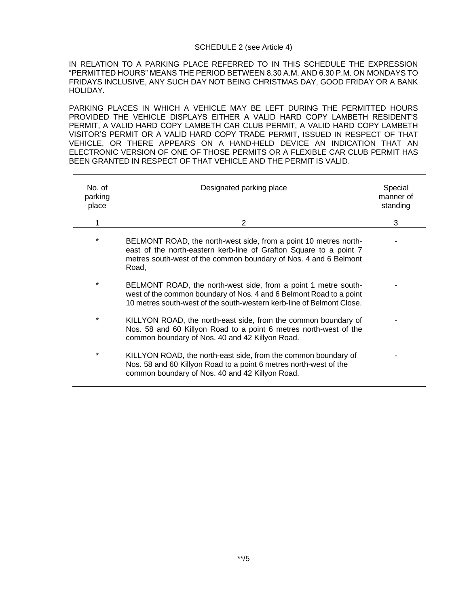#### SCHEDULE 2 (see Article 4)

IN RELATION TO A PARKING PLACE REFERRED TO IN THIS SCHEDULE THE EXPRESSION "PERMITTED HOURS" MEANS THE PERIOD BETWEEN 8.30 A.M. AND 6.30 P.M. ON MONDAYS TO FRIDAYS INCLUSIVE, ANY SUCH DAY NOT BEING CHRISTMAS DAY, GOOD FRIDAY OR A BANK HOLIDAY.

PARKING PLACES IN WHICH A VEHICLE MAY BE LEFT DURING THE PERMITTED HOURS PROVIDED THE VEHICLE DISPLAYS EITHER A VALID HARD COPY LAMBETH RESIDENT'S PERMIT, A VALID HARD COPY LAMBETH CAR CLUB PERMIT, A VALID HARD COPY LAMBETH VISITOR'S PERMIT OR A VALID HARD COPY TRADE PERMIT, ISSUED IN RESPECT OF THAT VEHICLE, OR THERE APPEARS ON A HAND-HELD DEVICE AN INDICATION THAT AN ELECTRONIC VERSION OF ONE OF THOSE PERMITS OR A FLEXIBLE CAR CLUB PERMIT HAS BEEN GRANTED IN RESPECT OF THAT VEHICLE AND THE PERMIT IS VALID.

| No. of<br>parking<br>place | Designated parking place                                                                                                                                                                                            | Special<br>manner of<br>standing |
|----------------------------|---------------------------------------------------------------------------------------------------------------------------------------------------------------------------------------------------------------------|----------------------------------|
| 1                          | 2                                                                                                                                                                                                                   | 3                                |
| *                          | BELMONT ROAD, the north-west side, from a point 10 metres north-<br>east of the north-eastern kerb-line of Grafton Square to a point 7<br>metres south-west of the common boundary of Nos. 4 and 6 Belmont<br>Road, |                                  |
| $\star$                    | BELMONT ROAD, the north-west side, from a point 1 metre south-<br>west of the common boundary of Nos. 4 and 6 Belmont Road to a point<br>10 metres south-west of the south-western kerb-line of Belmont Close.      |                                  |
| $^\star$                   | KILLYON ROAD, the north-east side, from the common boundary of<br>Nos. 58 and 60 Killyon Road to a point 6 metres north-west of the<br>common boundary of Nos. 40 and 42 Killyon Road.                              |                                  |
| $^\star$                   | KILLYON ROAD, the north-east side, from the common boundary of<br>Nos. 58 and 60 Killyon Road to a point 6 metres north-west of the<br>common boundary of Nos. 40 and 42 Killyon Road.                              |                                  |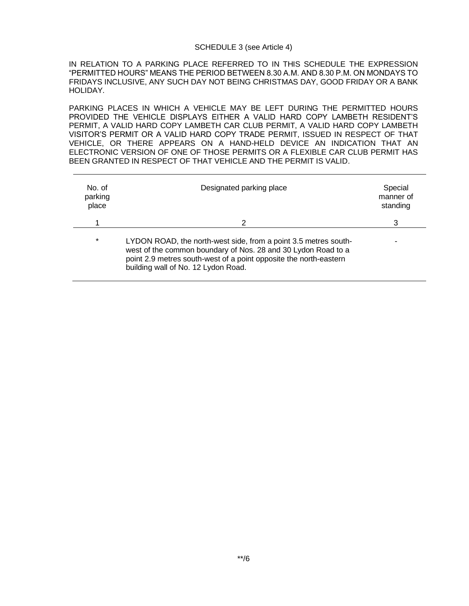#### SCHEDULE 3 (see Article 4)

IN RELATION TO A PARKING PLACE REFERRED TO IN THIS SCHEDULE THE EXPRESSION "PERMITTED HOURS" MEANS THE PERIOD BETWEEN 8.30 A.M. AND 8.30 P.M. ON MONDAYS TO FRIDAYS INCLUSIVE, ANY SUCH DAY NOT BEING CHRISTMAS DAY, GOOD FRIDAY OR A BANK HOLIDAY.

PARKING PLACES IN WHICH A VEHICLE MAY BE LEFT DURING THE PERMITTED HOURS PROVIDED THE VEHICLE DISPLAYS EITHER A VALID HARD COPY LAMBETH RESIDENT'S PERMIT, A VALID HARD COPY LAMBETH CAR CLUB PERMIT, A VALID HARD COPY LAMBETH VISITOR'S PERMIT OR A VALID HARD COPY TRADE PERMIT, ISSUED IN RESPECT OF THAT VEHICLE, OR THERE APPEARS ON A HAND-HELD DEVICE AN INDICATION THAT AN ELECTRONIC VERSION OF ONE OF THOSE PERMITS OR A FLEXIBLE CAR CLUB PERMIT HAS BEEN GRANTED IN RESPECT OF THAT VEHICLE AND THE PERMIT IS VALID.

| No. of<br>parking<br>place | Designated parking place                                                                                                                                                                                                                     | Special<br>manner of<br>standing |
|----------------------------|----------------------------------------------------------------------------------------------------------------------------------------------------------------------------------------------------------------------------------------------|----------------------------------|
|                            | $\mathcal{P}$                                                                                                                                                                                                                                | 3                                |
| $\star$                    | LYDON ROAD, the north-west side, from a point 3.5 metres south-<br>west of the common boundary of Nos. 28 and 30 Lydon Road to a<br>point 2.9 metres south-west of a point opposite the north-eastern<br>building wall of No. 12 Lydon Road. |                                  |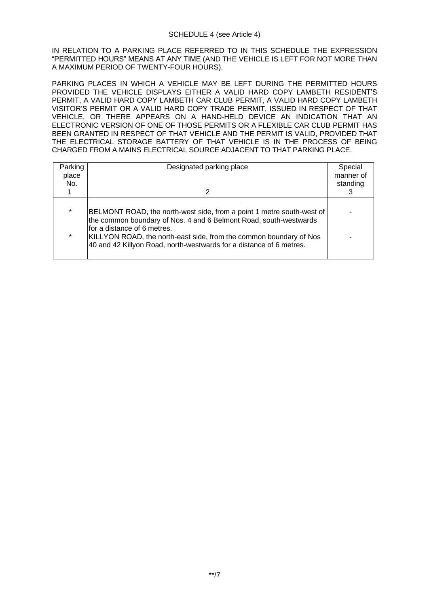IN RELATION TO A PARKING PLACE REFERRED TO IN THIS SCHEDULE THE EXPRESSION "PERMITTED HOURS" MEANS AT ANY TIME (AND THE VEHICLE IS LEFT FOR NOT MORE THAN A MAXIMUM PERIOD OF TWENTY-FOUR HOURS).

PARKING PLACES IN WHICH A VEHICLE MAY BE LEFT DURING THE PERMITTED HOURS PROVIDED THE VEHICLE DISPLAYS EITHER A VALID HARD COPY LAMBETH RESIDENT'S PERMIT, A VALID HARD COPY LAMBETH CAR CLUB PERMIT, A VALID HARD COPY LAMBETH VISITOR'S PERMIT OR A VALID HARD COPY TRADE PERMIT, ISSUED IN RESPECT OF THAT VEHICLE, OR THERE APPEARS ON A HAND-HELD DEVICE AN INDICATION THAT AN ELECTRONIC VERSION OF ONE OF THOSE PERMITS OR A FLEXIBLE CAR CLUB PERMIT HAS BEEN GRANTED IN RESPECT OF THAT VEHICLE AND THE PERMIT IS VALID, PROVIDED THAT THE ELECTRICAL STORAGE BATTERY OF THAT VEHICLE IS IN THE PROCESS OF BEING CHARGED FROM A MAINS ELECTRICAL SOURCE ADJACENT TO THAT PARKING PLACE.

| Parking<br>place<br>No. | Designated parking place                                                                                                                                                                                                                                                                                               | Special<br>manner of<br>standing |
|-------------------------|------------------------------------------------------------------------------------------------------------------------------------------------------------------------------------------------------------------------------------------------------------------------------------------------------------------------|----------------------------------|
|                         |                                                                                                                                                                                                                                                                                                                        |                                  |
| $\star$<br>$\star$      | BELMONT ROAD, the north-west side, from a point 1 metre south-west of<br>the common boundary of Nos. 4 and 6 Belmont Road, south-westwards<br>for a distance of 6 metres.<br>KILLYON ROAD, the north-east side, from the common boundary of Nos<br>40 and 42 Killyon Road, north-westwards for a distance of 6 metres. |                                  |